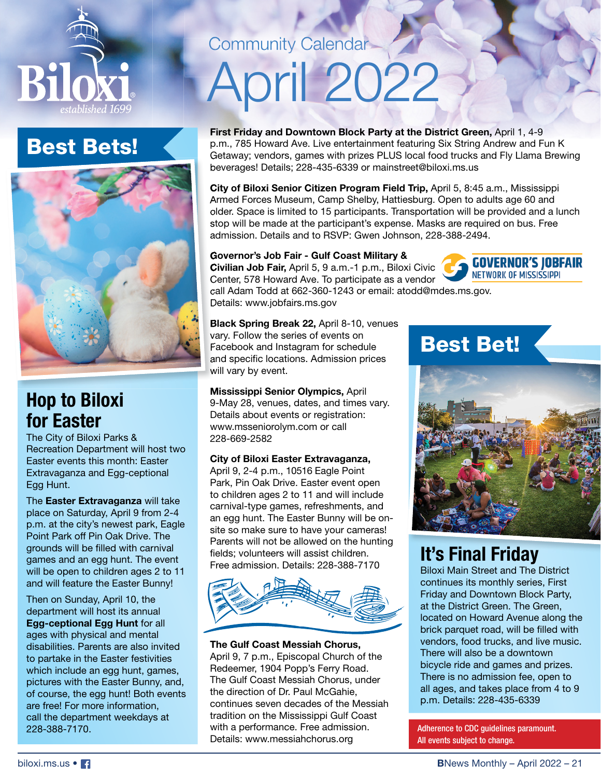

## Best Bets!



## **Hop to Biloxi for Easter**

The City of Biloxi Parks & Recreation Department will host two Easter events this month: Easter Extravaganza and Egg-ceptional Egg Hunt.

The **Easter Extravaganza** will take place on Saturday, April 9 from 2-4 p.m. at the city's newest park, Eagle Point Park off Pin Oak Drive. The grounds will be filled with carnival games and an egg hunt. The event will be open to children ages 2 to 11 and will feature the Easter Bunny!

Then on Sunday, April 10, the department will host its annual **Egg-ceptional Egg Hunt** for all ages with physical and mental disabilities. Parents are also invited to partake in the Easter festivities which include an egg hunt, games, pictures with the Easter Bunny, and, of course, the egg hunt! Both events are free! For more information, call the department weekdays at 228-388-7170.

## Community Calendar-

# April 2022

**First Friday and Downtown Block Party at the District Green,** April 1, 4-9 p.m., 785 Howard Ave. Live entertainment featuring Six String Andrew and Fun K Getaway; vendors, games with prizes PLUS local food trucks and Fly Llama Brewing beverages! Details; 228-435-6339 or mainstreet@biloxi.ms.us

**City of Biloxi Senior Citizen Program Field Trip,** April 5, 8:45 a.m., Mississippi Armed Forces Museum, Camp Shelby, Hattiesburg. Open to adults age 60 and older. Space is limited to 15 participants. Transportation will be provided and a lunch stop will be made at the participant's expense. Masks are required on bus. Free admission. Details and to RSVP: Gwen Johnson, 228-388-2494.

#### **Governor's Job Fair - Gulf Coast Military &**

**Civilian Job Fair,** April 5, 9 a.m.-1 p.m., Biloxi Civic Center, 578 Howard Ave. To participate as a vendor



call Adam Todd at 662-360-1243 or email: atodd@mdes.ms.gov. Details: www.jobfairs.ms.gov

**Black Spring Break 22,** April 8-10, venues vary. Follow the series of events on Facebook and Instagram for schedule and specific locations. Admission prices will vary by event.

**Mississippi Senior Olympics,** April 9-May 28, venues, dates, and times vary. Details about events or registration: www.msseniorolym.com or call 228-669-2582

#### **City of Biloxi Easter Extravaganza,**

April 9, 2-4 p.m., 10516 Eagle Point Park, Pin Oak Drive. Easter event open to children ages 2 to 11 and will include carnival-type games, refreshments, and an egg hunt. The Easter Bunny will be onsite so make sure to have your cameras! Parents will not be allowed on the hunting fields; volunteers will assist children. Free admission. Details: 228-388-7170



#### **The Gulf Coast Messiah Chorus,**

April 9, 7 p.m., Episcopal Church of the Redeemer, 1904 Popp's Ferry Road. The Gulf Coast Messiah Chorus, under the direction of Dr. Paul McGahie, continues seven decades of the Messiah tradition on the Mississippi Gulf Coast with a performance. Free admission. Details: www.messiahchorus.org

## Best Bet!



## **It's Final Friday**

Biloxi Main Street and The District continues its monthly series, First Friday and Downtown Block Party, at the District Green. The Green, located on Howard Avenue along the brick parquet road, will be filled with vendors, food trucks, and live music. There will also be a downtown bicycle ride and games and prizes. There is no admission fee, open to all ages, and takes place from 4 to 9 p.m. Details: 228-435-6339

Adherence to CDC guidelines paramount. All events subject to change.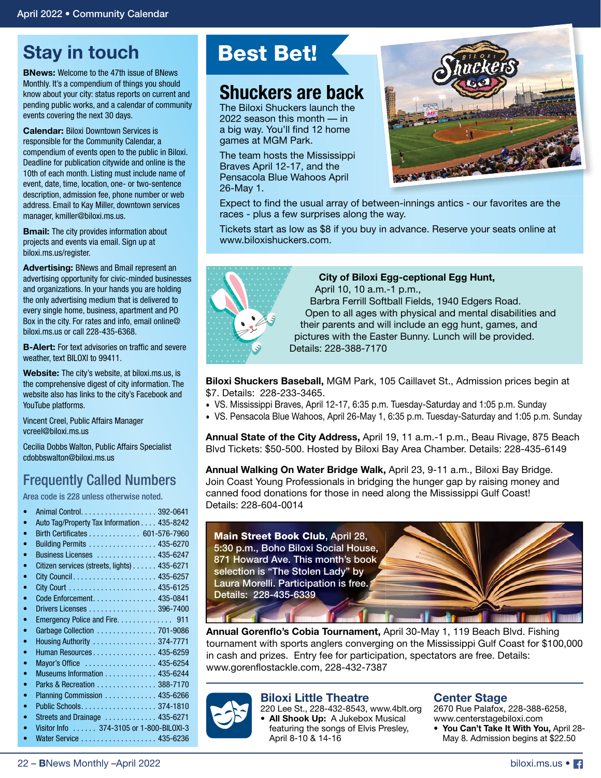## **Stay in touch**

**BNews:** Welcome to the 47th issue of BNews Monthly. It's a compendium of things you should know about your city: status reports on current and pending public works, and a calendar of community events covering the next 30 days.

**Calendar:** Biloxi Downtown Services is responsible for the Community Calendar, a compendium of events open to the public in Biloxi. Deadline for publication citywide and online is the 10th of each month. Listing must include name of event, date, time, location, one- or two-sentence description, admission fee, phone number or web address. Email to Kay Miller, downtown services manager, kmiller@biloxi.ms.us.

**Bmail:** The city provides information about projects and events via email. Sign up at biloxi.ms.us/register.

**Advertising:** BNews and Bmail represent an advertising opportunity for civic-minded businesses and organizations. In your hands you are holding the only advertising medium that is delivered to every single home, business, apartment and PO Box in the city. For rates and info, email online@ biloxi.ms.us or call 228-435-6368.

**B-Alert:** For text advisories on traffic and severe weather, text BILOXI to 99411.

**Website:** The city's website, at biloxi.ms.us, is the comprehensive digest of city information. The website also has links to the city's Facebook and YouTube platforms.

Vincent Creel, Public Affairs Manager vcreel@biloxi.ms.us

Cecilia Dobbs Walton, Public Affairs Specialist cdobbswalton@biloxi.ms.us

### Frequently Called Numbers

Area code is 228 unless otherwise noted.

| $\bullet$ | Auto Tag/Property Tax Information 435-8242           |  |
|-----------|------------------------------------------------------|--|
| $\bullet$ | Birth Certificates 601-576-7960                      |  |
| $\bullet$ | Building Permits 435-6270                            |  |
| ۰         | Business Licenses  435-6247                          |  |
| ۰         | Citizen services (streets, lights) 435-6271          |  |
| $\bullet$ |                                                      |  |
| ۰         |                                                      |  |
| $\bullet$ | Code Enforcement. 435-0841                           |  |
| ۰         | Drivers Licenses 396-7400                            |  |
| ۰         |                                                      |  |
| ۰         | Garbage Collection  701-9086                         |  |
| $\bullet$ | Housing Authority  374-7771                          |  |
| ۰         | Human Resources 435-6259                             |  |
| $\bullet$ | Mayor's Office  435-6254                             |  |
| $\bullet$ | Museums Information 435-6244                         |  |
| $\bullet$ | Parks & Recreation 388-7170                          |  |
| $\bullet$ | Planning Commission  435-6266                        |  |
| $\bullet$ |                                                      |  |
| $\bullet$ | Streets and Drainage $\ldots \ldots \ldots$ 435-6271 |  |
| $\bullet$ | Visitor Info 374-3105 or 1-800-BILOXI-3              |  |
| ۰         | Water Service 435-6236                               |  |
|           |                                                      |  |

## Best Bet!

## **Shuckers are back**

The Biloxi Shuckers launch the 2022 season this month — in a big way. You'll find 12 home games at MGM Park.

The team hosts the Mississippi Braves April 12-17, and the Pensacola Blue Wahoos April 26-May 1.



Expect to find the usual array of between-innings antics - our favorites are the races - plus a few surprises along the way.

Tickets start as low as \$8 if you buy in advance. Reserve your seats online at www.biloxishuckers.com.

| 0 <sub>0</sub> < 0<br>$\bullet\quad \bullet\quad \bullet$<br>$\bullet\quad \bullet\quad \bullet$                                                                                                                                                                                                                                                             | .<br>$\begin{array}{ccccccccccccccccc} \bullet & \bullet & \bullet & \bullet & \bullet & \bullet & \bullet & \bullet & \bullet \end{array}$                                                                                                                                                                                 |
|--------------------------------------------------------------------------------------------------------------------------------------------------------------------------------------------------------------------------------------------------------------------------------------------------------------------------------------------------------------|-----------------------------------------------------------------------------------------------------------------------------------------------------------------------------------------------------------------------------------------------------------------------------------------------------------------------------|
| ٠<br>o                                                                                                                                                                                                                                                                                                                                                       | $\begin{array}{ccccccccccccccccc} \bullet & \bullet & \bullet & \bullet & \bullet & \bullet & \bullet & \bullet \end{array}$<br>$\begin{array}{cccccccccccccc} 0 & 0 & 0 & 0 & 0 & 0 & 0 \end{array}$<br>$\begin{array}{ccccccccccccccccc} \bullet & \bullet & \bullet & \bullet & \bullet & \bullet & \bullet \end{array}$ |
| $\begin{array}{cccccccccccccc} 0 & 0 & 0 & 0 & 0 \end{array}$                                                                                                                                                                                                                                                                                                | $\bullet\hspace{0.4mm}\bullet\hspace{0.4mm}\bullet\hspace{0.4mm}\bullet$<br>$\bullet$                                                                                                                                                                                                                                       |
| $\begin{array}{ccccccccccccccccc} \bullet & \bullet & \bullet & \bullet & \bullet & \bullet & \bullet \end{array}$<br>$\begin{array}{ccccccccccccccccc} \bullet & \bullet & \bullet & \bullet & \bullet & \bullet & \circ \end{array}$<br>$\begin{array}{ccccccccccccccccc} \bullet & \bullet & \bullet & \bullet & \bullet & \bullet & \bullet \end{array}$ |                                                                                                                                                                                                                                                                                                                             |
| $\begin{array}{cccccccccccccccccc} \bullet & \bullet & \bullet & \bullet & \bullet & \bullet & \bullet & \bullet & \bullet \end{array}$                                                                                                                                                                                                                      | V                                                                                                                                                                                                                                                                                                                           |

#### **City of Biloxi Egg-ceptional Egg Hunt,** April 10, 10 a.m.-1 p.m., Barbra Ferrill Softball Fields, 1940 Edgers Road. Open to all ages with physical and mental disabilities and their parents and will include an egg hunt, games, and pictures with the Easter Bunny. Lunch will be provided. Details: 228-388-7170

**Biloxi Shuckers Baseball,** MGM Park, 105 Caillavet St., Admission prices begin at \$7. Details: 228-233-3465.

- VS. Mississippi Braves, April 12-17, 6:35 p.m. Tuesday-Saturday and 1:05 p.m. Sunday
- VS. Pensacola Blue Wahoos, April 26-May 1, 6:35 p.m. Tuesday-Saturday and 1:05 p.m. Sunday

**Annual State of the City Address,** April 19, 11 a.m.-1 p.m., Beau Rivage, 875 Beach Blvd Tickets: \$50-500. Hosted by Biloxi Bay Area Chamber. Details: 228-435-6149

**Annual Walking On Water Bridge Walk,** April 23, 9-11 a.m., Biloxi Bay Bridge. Join Coast Young Professionals in bridging the hunger gap by raising money and canned food donations for those in need along the Mississippi Gulf Coast! Details: 228-604-0014



Annual Gorenflo's Cobia Tournament, April 30-May 1, 119 Beach Blvd. Fishing tournament with sports anglers converging on the Mississippi Gulf Coast for \$100,000 in cash and prizes. Entry fee for participation, spectators are free. Details: www.gorenflostackle.com, 228-432-7387



#### **Biloxi Little Theatre**

220 Lee St., 228-432-8543, www.4blt.org **• All Shook Up:** A Jukebox Musical featuring the songs of Elvis Presley, April 8-10 & 14-16

#### **Center Stage**

2670 Rue Palafox, 228-388-6258, www.centerstagebiloxi.com

**• You Can't Take It With You,** April 28- May 8. Admission begins at \$22.50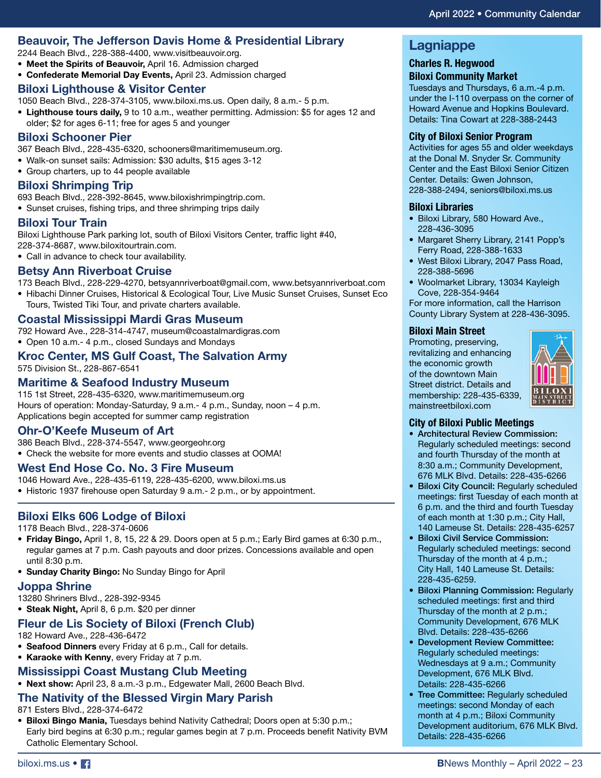#### **Beauvoir, The Jefferson Davis Home & Presidential Library**

2244 Beach Blvd., 228-388-4400, www.visitbeauvoir.org.

- **Meet the Spirits of Beauvoir,** April 16. Admission charged
- **Confederate Memorial Day Events,** April 23. Admission charged

#### **Biloxi Lighthouse & Visitor Center**

1050 Beach Blvd., 228-374-3105, www.biloxi.ms.us. Open daily, 8 a.m.- 5 p.m.

**• Lighthouse tours daily,** 9 to 10 a.m., weather permitting. Admission: \$5 for ages 12 and older; \$2 for ages 6-11; free for ages 5 and younger

#### **Biloxi Schooner Pier**

367 Beach Blvd., 228-435-6320, schooners@maritimemuseum.org.

- Walk-on sunset sails: Admission: \$30 adults, \$15 ages 3-12
- Group charters, up to 44 people available

#### **Biloxi Shrimping Trip**

693 Beach Blvd., 228-392-8645, www.biloxishrimpingtrip.com.

• Sunset cruises, fishing trips, and three shrimping trips daily

#### **Biloxi Tour Train**

Biloxi Lighthouse Park parking lot, south of Biloxi Visitors Center, traffic light #40, 228-374-8687, www.biloxitourtrain.com.

• Call in advance to check tour availability.

#### **Betsy Ann Riverboat Cruise**

173 Beach Blvd., 228-229-4270, betsyannriverboat@gmail.com, www.betsyannriverboat.com

• Hibachi Dinner Cruises, Historical & Ecological Tour, Live Music Sunset Cruises, Sunset Eco Tours, Twisted Tiki Tour, and private charters available.

#### **Coastal Mississippi Mardi Gras Museum**

792 Howard Ave., 228-314-4747, museum@coastalmardigras.com • Open 10 a.m.- 4 p.m., closed Sundays and Mondays

#### **Kroc Center, MS Gulf Coast, The Salvation Army**

575 Division St., 228-867-6541

#### **Maritime & Seafood Industry Museum**

115 1st Street, 228-435-6320, www.maritimemuseum.org Hours of operation: Monday-Saturday, 9 a.m.- 4 p.m., Sunday, noon – 4 p.m. Applications begin accepted for summer camp registration

#### **Ohr-O'Keefe Museum of Art**

386 Beach Blvd., 228-374-5547, www.georgeohr.org • Check the website for more events and studio classes at OOMA!

#### **West End Hose Co. No. 3 Fire Museum**

1046 Howard Ave., 228-435-6119, 228-435-6200, www.biloxi.ms.us

• Historic 1937 firehouse open Saturday 9 a.m.- 2 p.m., or by appointment.

#### **Biloxi Elks 606 Lodge of Biloxi**

1178 Beach Blvd., 228-374-0606

- **Friday Bingo,** April 1, 8, 15, 22 & 29. Doors open at 5 p.m.; Early Bird games at 6:30 p.m., regular games at 7 p.m. Cash payouts and door prizes. Concessions available and open until 8:30 p.m.
- **Sunday Charity Bingo:** No Sunday Bingo for April

#### **Joppa Shrine**

13280 Shriners Blvd., 228-392-9345

**• Steak Night,** April 8, 6 p.m. \$20 per dinner

#### **Fleur de Lis Society of Biloxi (French Club)**

182 Howard Ave., 228-436-6472

- **Seafood Dinners** every Friday at 6 p.m., Call for details.
- **Karaoke with Kenny**, every Friday at 7 p.m.

#### **Mississippi Coast Mustang Club Meeting**

**• Next show:** April 23, 8 a.m.-3 p.m., Edgewater Mall, 2600 Beach Blvd.

#### **The Nativity of the Blessed Virgin Mary Parish**

871 Esters Blvd., 228-374-6472

**• Biloxi Bingo Mania,** Tuesdays behind Nativity Cathedral; Doors open at 5:30 p.m.; Early bird begins at 6:30 p.m.; regular games begin at 7 p.m. Proceeds benefit Nativity BVM Catholic Elementary School.

#### **Lagniappe**

#### **Charles R. Hegwood**

**Biloxi Community Market** Tuesdays and Thursdays, 6 a.m.-4 p.m.

under the I-110 overpass on the corner of Howard Avenue and Hopkins Boulevard. Details: Tina Cowart at 228-388-2443

#### **City of Biloxi Senior Program**

Activities for ages 55 and older weekdays at the Donal M. Snyder Sr. Community Center and the East Biloxi Senior Citizen Center. Details: Gwen Johnson, 228-388-2494, seniors@biloxi.ms.us

#### **Biloxi Libraries**

- Biloxi Library, 580 Howard Ave., 228-436-3095
- Margaret Sherry Library, 2141 Popp's Ferry Road, 228-388-1633
- West Biloxi Library, 2047 Pass Road, 228-388-5696
- Woolmarket Library, 13034 Kayleigh Cove, 228-354-9464

For more information, call the Harrison County Library System at 228-436-3095.

#### **Biloxi Main Street**

Promoting, preserving, revitalizing and enhancing the economic growth of the downtown Main Street district. Details and membership: 228-435-6339, mainstreetbiloxi.com



#### **City of Biloxi Public Meetings**

- Architectural Review Commission: Regularly scheduled meetings: second and fourth Thursday of the month at 8:30 a.m.; Community Development, 676 MLK Blvd. Details: 228-435-6266
- Biloxi City Council: Regularly scheduled meetings: first Tuesday of each month at 6 p.m. and the third and fourth Tuesday of each month at 1:30 p.m.; City Hall, 140 Lameuse St. Details: 228-435-6257
- Biloxi Civil Service Commission: Regularly scheduled meetings: second Thursday of the month at 4 p.m.; City Hall, 140 Lameuse St. Details: 228-435-6259.
- Biloxi Planning Commission: Regularly scheduled meetings: first and third Thursday of the month at 2 p.m.; Community Development, 676 MLK Blvd. Details: 228-435-6266
- Development Review Committee: Regularly scheduled meetings: Wednesdays at 9 a.m.; Community Development, 676 MLK Blvd. Details: 228-435-6266
- Tree Committee: Regularly scheduled meetings: second Monday of each month at 4 p.m.; Biloxi Community Development auditorium, 676 MLK Blvd. Details: 228-435-6266